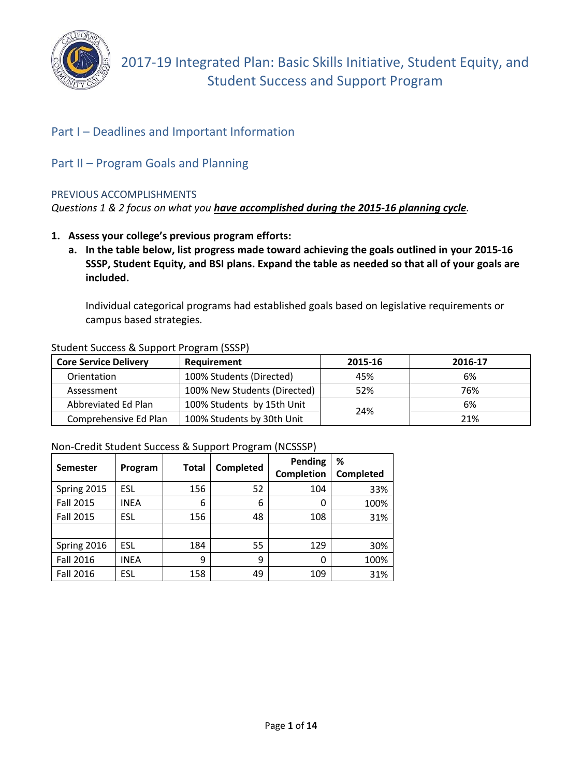

# Part I – Deadlines and Important Information

# Part II – Program Goals and Planning

#### PREVIOUS ACCOMPLISHMENTS

*Questions 1 & 2 focus on what you have accomplished during the 2015-16 planning cycle.*

- **1. Assess your college's previous program efforts:** 
	- **a. In the table below, list progress made toward achieving the goals outlined in your 2015-16 SSSP, Student Equity, and BSI plans. Expand the table as needed so that all of your goals are included.**

Individual categorical programs had established goals based on legislative requirements or campus based strategies.

| <b>Core Service Delivery</b> | Requirement                  | 2015-16 | 2016-17 |
|------------------------------|------------------------------|---------|---------|
| Orientation                  | 100% Students (Directed)     | 45%     | 6%      |
| Assessment                   | 100% New Students (Directed) | 52%     | 76%     |
| Abbreviated Ed Plan          | 100% Students by 15th Unit   | 24%     | 6%      |
| Comprehensive Ed Plan        | 100% Students by 30th Unit   |         | 21%     |

#### Student Success & Support Program (SSSP)

#### Non-Credit Student Success & Support Program (NCSSSP)

|                  |             | Total |           | <b>Pending</b> | %                |
|------------------|-------------|-------|-----------|----------------|------------------|
| <b>Semester</b>  | Program     |       | Completed | Completion     | <b>Completed</b> |
| Spring 2015      | <b>ESL</b>  | 156   | 52        | 104            | 33%              |
| <b>Fall 2015</b> | <b>INEA</b> | 6     | 6         | O              | 100%             |
| <b>Fall 2015</b> | <b>ESL</b>  | 156   | 48        | 108            | 31%              |
|                  |             |       |           |                |                  |
| Spring 2016      | <b>ESL</b>  | 184   | 55        | 129            | 30%              |
| Fall 2016        | <b>INEA</b> | 9     | 9         | 0              | 100%             |
| <b>Fall 2016</b> | ESL         | 158   | 49        | 109            | 31%              |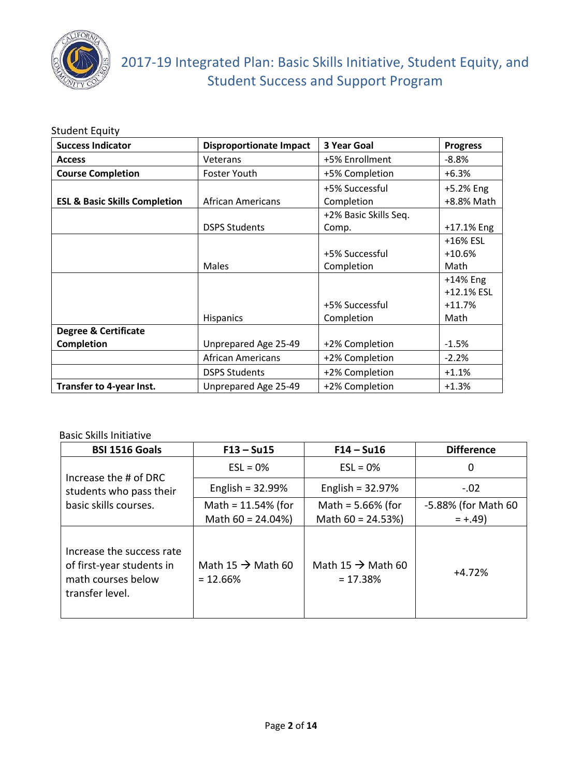

# 2017-19 Integrated Plan: Basic Skills Initiative, Student Equity, and Student Success and Support Program

#### **Success Indicator Disproportionate Impact** | **3 Year Goal Progress Access** +5% Enrollment  $\vert$  -8.8% **Course Completion Foster Youth** +5% Completion +6.3% **ESL & Basic Skills Completion** | African Americans +5% Successful Completion +5.2% Eng +8.8% Math DSPS Students +2% Basic Skills Seq. Comp. +17.1% Eng Males +5% Successful Completion +16% ESL +10.6% Math **Hispanics** +5% Successful Completion +14% Eng +12.1% ESL +11.7% Math **Degree & Certificate Completion**  $\vert$  Unprepared Age 25-49 +2% Completion  $\vert$  -1.5% African Americans  $+2\%$  Completion  $-2.2\%$ DSPS Students  $+2\%$  Completion  $+1.1\%$ **Transfer to 4-year Inst.**  $\vert$  Unprepared Age 25-49  $\vert$  +2% Completion  $\vert$  +1.3%

#### Student Equity

#### Basic Skills Initiative

| <b>BSI 1516 Goals</b>                                                                           | $F13 - Su15$                                 | $F14 - Su16$                                | <b>Difference</b>   |
|-------------------------------------------------------------------------------------------------|----------------------------------------------|---------------------------------------------|---------------------|
| Increase the # of DRC                                                                           | $ESL = 0%$                                   | $ESL = 0%$                                  | 0                   |
| students who pass their                                                                         | English = $32.99\%$                          | English = $32.97%$                          | $-.02$              |
| basic skills courses.                                                                           | Math = $11.54%$ (for                         | Math = $5.66\%$ (for                        | -5.88% (for Math 60 |
|                                                                                                 | Math $60 = 24.04\%$                          | Math $60 = 24.53\%$                         | $= +.49$            |
| Increase the success rate<br>of first-year students in<br>math courses below<br>transfer level. | Math 15 $\rightarrow$ Math 60<br>$= 12.66\%$ | Math 15 $\rightarrow$ Math 60<br>$= 17.38%$ | $+4.72%$            |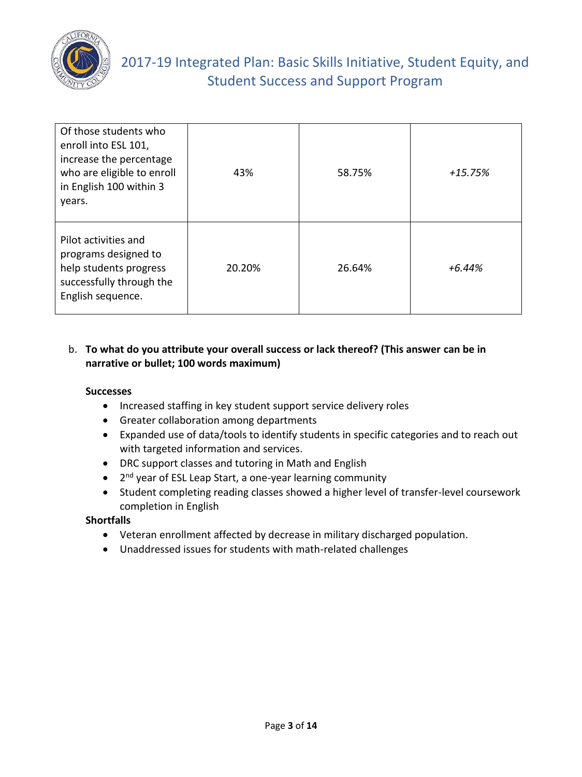

# 2017-19 Integrated Plan: Basic Skills Initiative, Student Equity, and Student Success and Support Program

| Of those students who<br>enroll into ESL 101,<br>increase the percentage<br>who are eligible to enroll<br>in English 100 within 3<br>years. | 43%    | 58.75% | +15.75%  |
|---------------------------------------------------------------------------------------------------------------------------------------------|--------|--------|----------|
| Pilot activities and<br>programs designed to<br>help students progress<br>successfully through the<br>English sequence.                     | 20.20% | 26.64% | $+6.44%$ |

### b. **To what do you attribute your overall success or lack thereof? (This answer can be in narrative or bullet; 100 words maximum)**

#### **Successes**

- Increased staffing in key student support service delivery roles
- Greater collaboration among departments
- Expanded use of data/tools to identify students in specific categories and to reach out with targeted information and services.
- DRC support classes and tutoring in Math and English
- 2<sup>nd</sup> year of ESL Leap Start, a one-year learning community
- Student completing reading classes showed a higher level of transfer-level coursework completion in English

### **Shortfalls**

- Veteran enrollment affected by decrease in military discharged population.
- Unaddressed issues for students with math-related challenges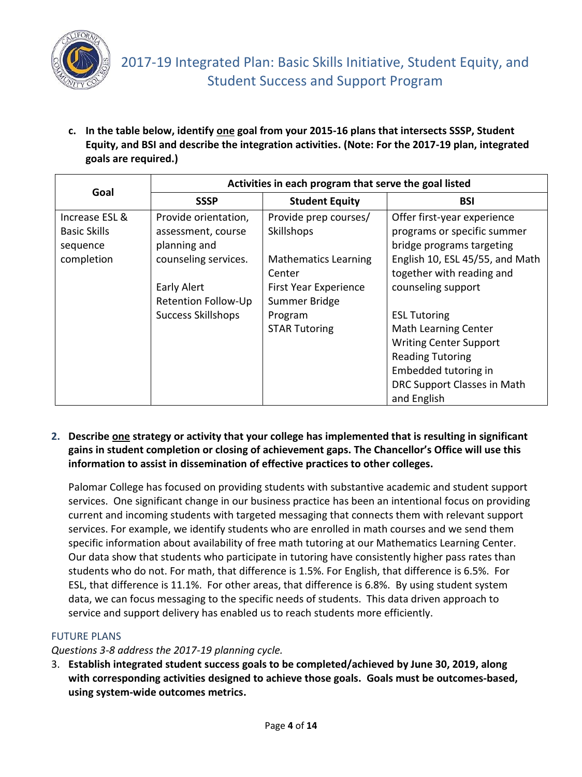

**c. In the table below, identify one goal from your 2015-16 plans that intersects SSSP, Student Equity, and BSI and describe the integration activities. (Note: For the 2017-19 plan, integrated goals are required.)** 

| Goal                |                            | Activities in each program that serve the goal listed |                                 |  |  |  |  |  |
|---------------------|----------------------------|-------------------------------------------------------|---------------------------------|--|--|--|--|--|
|                     | <b>SSSP</b>                | <b>Student Equity</b>                                 | <b>BSI</b>                      |  |  |  |  |  |
| Increase ESL &      | Provide orientation,       | Provide prep courses/                                 | Offer first-year experience     |  |  |  |  |  |
| <b>Basic Skills</b> | assessment, course         | Skillshops                                            | programs or specific summer     |  |  |  |  |  |
| sequence            | planning and               |                                                       | bridge programs targeting       |  |  |  |  |  |
| completion          | counseling services.       | <b>Mathematics Learning</b>                           | English 10, ESL 45/55, and Math |  |  |  |  |  |
|                     |                            | Center                                                | together with reading and       |  |  |  |  |  |
|                     | <b>Early Alert</b>         | First Year Experience                                 | counseling support              |  |  |  |  |  |
|                     | <b>Retention Follow-Up</b> | Summer Bridge                                         |                                 |  |  |  |  |  |
|                     | <b>Success Skillshops</b>  | Program                                               | <b>ESL Tutoring</b>             |  |  |  |  |  |
|                     |                            | <b>STAR Tutoring</b>                                  | <b>Math Learning Center</b>     |  |  |  |  |  |
|                     |                            |                                                       | <b>Writing Center Support</b>   |  |  |  |  |  |
|                     |                            |                                                       | <b>Reading Tutoring</b>         |  |  |  |  |  |
|                     |                            |                                                       | Embedded tutoring in            |  |  |  |  |  |
|                     |                            |                                                       | DRC Support Classes in Math     |  |  |  |  |  |
|                     |                            |                                                       | and English                     |  |  |  |  |  |

#### **2. Describe one strategy or activity that your college has implemented that is resulting in significant gains in student completion or closing of achievement gaps. The Chancellor's Office will use this information to assist in dissemination of effective practices to other colleges.**

Palomar College has focused on providing students with substantive academic and student support services. One significant change in our business practice has been an intentional focus on providing current and incoming students with targeted messaging that connects them with relevant support services. For example, we identify students who are enrolled in math courses and we send them specific information about availability of free math tutoring at our Mathematics Learning Center. Our data show that students who participate in tutoring have consistently higher pass rates than students who do not. For math, that difference is 1.5%. For English, that difference is 6.5%. For ESL, that difference is 11.1%. For other areas, that difference is 6.8%. By using student system data, we can focus messaging to the specific needs of students. This data driven approach to service and support delivery has enabled us to reach students more efficiently.

### FUTURE PLANS

### *Questions 3-8 address the 2017-19 planning cycle.*

3. **Establish integrated student success goals to be completed/achieved by June 30, 2019, along with corresponding activities designed to achieve those goals. Goals must be outcomes-based, using system-wide outcomes metrics.**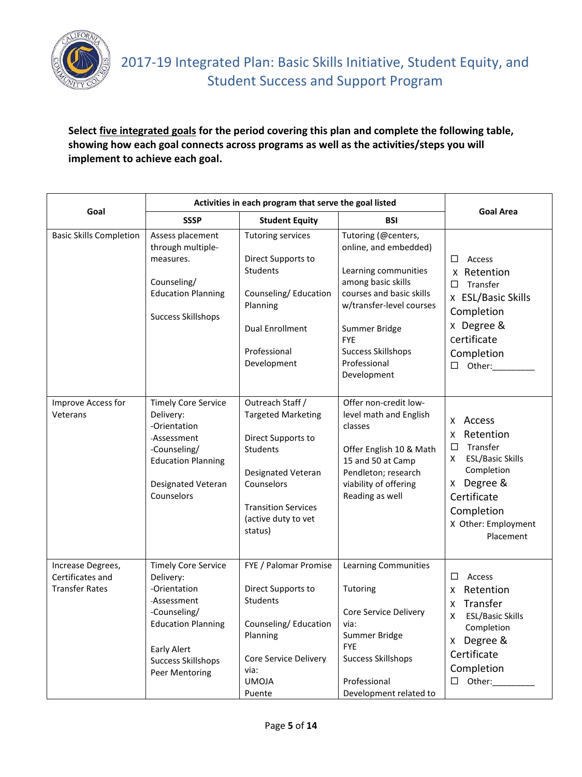

# **Select five integrated goals for the period covering this plan and complete the following table, showing how each goal connects across programs as well as the activities/steps you will implement to achieve each goal.**

|                                                                | Activities in each program that serve the goal listed                                                                                                                                    |                                                                                                                                                                                            |                                                                                                                                                                                                                                               |                                                                                                                                                                                          |
|----------------------------------------------------------------|------------------------------------------------------------------------------------------------------------------------------------------------------------------------------------------|--------------------------------------------------------------------------------------------------------------------------------------------------------------------------------------------|-----------------------------------------------------------------------------------------------------------------------------------------------------------------------------------------------------------------------------------------------|------------------------------------------------------------------------------------------------------------------------------------------------------------------------------------------|
| Goal                                                           | <b>SSSP</b>                                                                                                                                                                              | <b>Student Equity</b>                                                                                                                                                                      | <b>BSI</b>                                                                                                                                                                                                                                    | <b>Goal Area</b>                                                                                                                                                                         |
| <b>Basic Skills Completion</b>                                 | Assess placement<br>through multiple-<br>measures.<br>Counseling/<br><b>Education Planning</b><br><b>Success Skillshops</b>                                                              | <b>Tutoring services</b><br>Direct Supports to<br>Students<br>Counseling/Education<br>Planning<br><b>Dual Enrollment</b><br>Professional<br>Development                                    | Tutoring (@centers,<br>online, and embedded)<br>Learning communities<br>among basic skills<br>courses and basic skills<br>w/transfer-level courses<br>Summer Bridge<br><b>FYE</b><br><b>Success Skillshops</b><br>Professional<br>Development | Access<br>$\Box$<br>x Retention<br>Transfer<br>□<br>x ESL/Basic Skills<br>Completion<br>x Degree &<br>certificate<br>Completion<br>Other:<br>$\Box$                                      |
| Improve Access for<br>Veterans                                 | <b>Timely Core Service</b><br>Delivery:<br>-Orientation<br>-Assessment<br>-Counseling/<br><b>Education Planning</b><br>Designated Veteran<br>Counselors                                  | Outreach Staff /<br><b>Targeted Marketing</b><br>Direct Supports to<br><b>Students</b><br>Designated Veteran<br>Counselors<br><b>Transition Services</b><br>(active duty to vet<br>status) | Offer non-credit low-<br>level math and English<br>classes<br>Offer English 10 & Math<br>15 and 50 at Camp<br>Pendleton; research<br>viability of offering<br>Reading as well                                                                 | x Access<br>Retention<br>$\times$<br>Transfer<br>$\Box$<br><b>ESL/Basic Skills</b><br>X<br>Completion<br>Degree &<br>X.<br>Certificate<br>Completion<br>X Other: Employment<br>Placement |
| Increase Degrees,<br>Certificates and<br><b>Transfer Rates</b> | <b>Timely Core Service</b><br>Delivery:<br>-Orientation<br>-Assessment<br>-Counseling/<br><b>Education Planning</b><br><b>Early Alert</b><br><b>Success Skillshops</b><br>Peer Mentoring | FYE / Palomar Promise<br>Direct Supports to<br>Students<br>Counseling/Education<br>Planning<br>Core Service Delivery<br>via:<br><b>UMOJA</b><br>Puente                                     | <b>Learning Communities</b><br>Tutoring<br>Core Service Delivery<br>via:<br>Summer Bridge<br><b>FYE</b><br><b>Success Skillshops</b><br>Professional<br>Development related to                                                                | □<br>Access<br>Retention<br>$\mathsf{X}$<br>Transfer<br>X<br>Χ<br><b>ESL/Basic Skills</b><br>Completion<br>x Degree &<br>Certificate<br>Completion<br>$\Box$ Other:                      |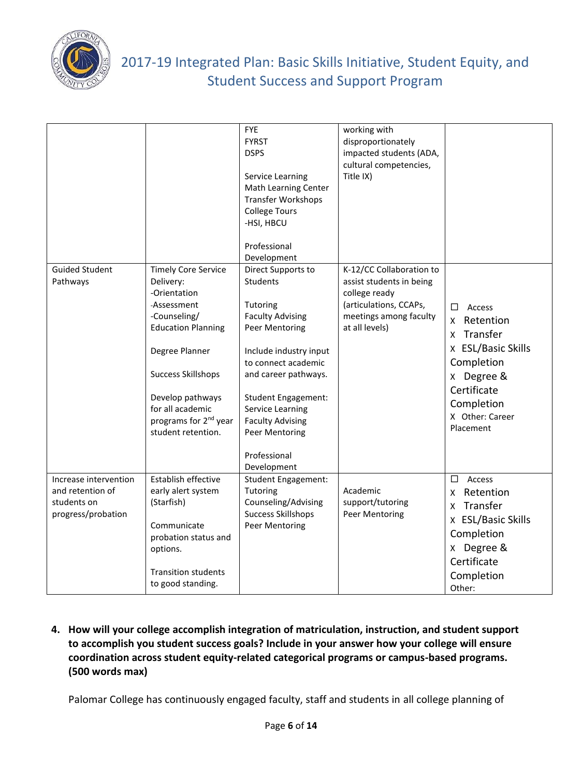

| <b>Guided Student</b>                                                          | <b>Timely Core Service</b>                                                                                                                                                                                                              | <b>FYE</b><br><b>FYRST</b><br><b>DSPS</b><br>Service Learning<br>Math Learning Center<br><b>Transfer Workshops</b><br><b>College Tours</b><br>-HSI, HBCU<br>Professional<br>Development<br>Direct Supports to                                                                   | working with<br>disproportionately<br>impacted students (ADA,<br>cultural competencies,<br>Title IX)<br>K-12/CC Collaboration to |                                                                                                                                                                          |
|--------------------------------------------------------------------------------|-----------------------------------------------------------------------------------------------------------------------------------------------------------------------------------------------------------------------------------------|---------------------------------------------------------------------------------------------------------------------------------------------------------------------------------------------------------------------------------------------------------------------------------|----------------------------------------------------------------------------------------------------------------------------------|--------------------------------------------------------------------------------------------------------------------------------------------------------------------------|
| Pathways                                                                       | Delivery:<br>-Orientation<br>-Assessment<br>-Counseling/<br><b>Education Planning</b><br>Degree Planner<br><b>Success Skillshops</b><br>Develop pathways<br>for all academic<br>programs for 2 <sup>nd</sup> year<br>student retention. | <b>Students</b><br>Tutoring<br><b>Faculty Advising</b><br>Peer Mentoring<br>Include industry input<br>to connect academic<br>and career pathways.<br><b>Student Engagement:</b><br>Service Learning<br><b>Faculty Advising</b><br>Peer Mentoring<br>Professional<br>Development | assist students in being<br>college ready<br>(articulations, CCAPs,<br>meetings among faculty<br>at all levels)                  | $\Box$<br>Access<br>Retention<br>X.<br>Transfer<br>X.<br>x ESL/Basic Skills<br>Completion<br>Degree &<br>X.<br>Certificate<br>Completion<br>X Other: Career<br>Placement |
| Increase intervention<br>and retention of<br>students on<br>progress/probation | Establish effective<br>early alert system<br>(Starfish)<br>Communicate<br>probation status and<br>options.<br><b>Transition students</b><br>to good standing.                                                                           | <b>Student Engagement:</b><br>Tutoring<br>Counseling/Advising<br><b>Success Skillshops</b><br>Peer Mentoring                                                                                                                                                                    | Academic<br>support/tutoring<br>Peer Mentoring                                                                                   | □<br>Access<br>Retention<br>X.<br>x Transfer<br>x ESL/Basic Skills<br>Completion<br>x Degree &<br>Certificate<br>Completion<br>Other:                                    |

**4. How will your college accomplish integration of matriculation, instruction, and student support to accomplish you student success goals? Include in your answer how your college will ensure coordination across student equity-related categorical programs or campus-based programs. (500 words max)**

Palomar College has continuously engaged faculty, staff and students in all college planning of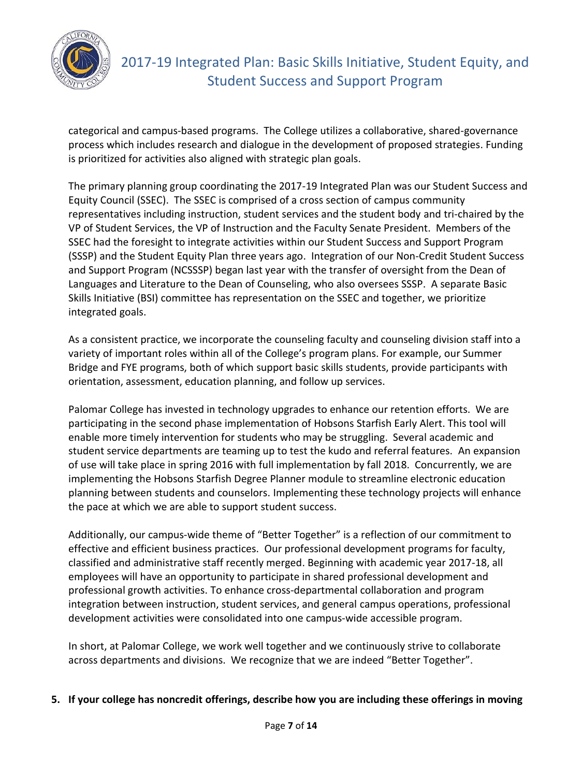

categorical and campus-based programs. The College utilizes a collaborative, shared-governance process which includes research and dialogue in the development of proposed strategies. Funding is prioritized for activities also aligned with strategic plan goals.

The primary planning group coordinating the 2017-19 Integrated Plan was our Student Success and Equity Council (SSEC). The SSEC is comprised of a cross section of campus community representatives including instruction, student services and the student body and tri-chaired by the VP of Student Services, the VP of Instruction and the Faculty Senate President. Members of the SSEC had the foresight to integrate activities within our Student Success and Support Program (SSSP) and the Student Equity Plan three years ago. Integration of our Non-Credit Student Success and Support Program (NCSSSP) began last year with the transfer of oversight from the Dean of Languages and Literature to the Dean of Counseling, who also oversees SSSP. A separate Basic Skills Initiative (BSI) committee has representation on the SSEC and together, we prioritize integrated goals.

As a consistent practice, we incorporate the counseling faculty and counseling division staff into a variety of important roles within all of the College's program plans. For example, our Summer Bridge and FYE programs, both of which support basic skills students, provide participants with orientation, assessment, education planning, and follow up services.

Palomar College has invested in technology upgrades to enhance our retention efforts. We are participating in the second phase implementation of Hobsons Starfish Early Alert. This tool will enable more timely intervention for students who may be struggling. Several academic and student service departments are teaming up to test the kudo and referral features. An expansion of use will take place in spring 2016 with full implementation by fall 2018. Concurrently, we are implementing the Hobsons Starfish Degree Planner module to streamline electronic education planning between students and counselors. Implementing these technology projects will enhance the pace at which we are able to support student success.

Additionally, our campus-wide theme of "Better Together" is a reflection of our commitment to effective and efficient business practices. Our professional development programs for faculty, classified and administrative staff recently merged. Beginning with academic year 2017-18, all employees will have an opportunity to participate in shared professional development and professional growth activities. To enhance cross-departmental collaboration and program integration between instruction, student services, and general campus operations, professional development activities were consolidated into one campus-wide accessible program.

In short, at Palomar College, we work well together and we continuously strive to collaborate across departments and divisions. We recognize that we are indeed "Better Together".

**5. If your college has noncredit offerings, describe how you are including these offerings in moving**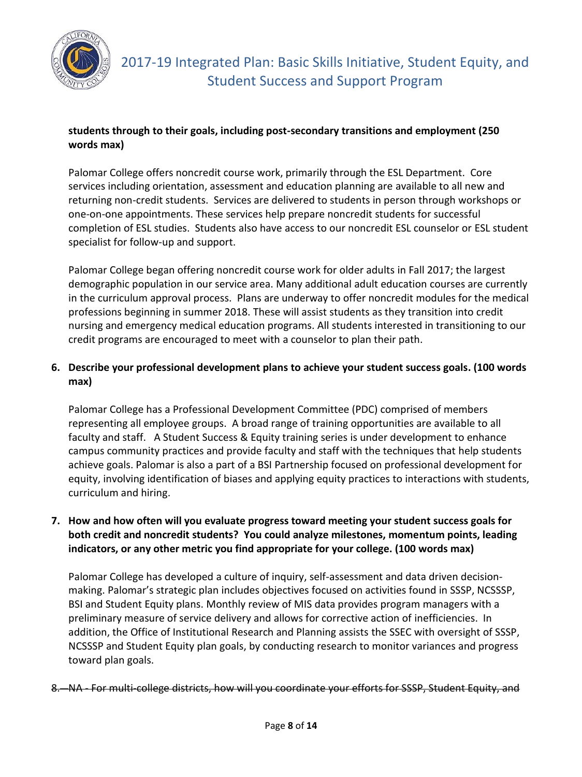

## **students through to their goals, including post-secondary transitions and employment (250 words max)**

Palomar College offers noncredit course work, primarily through the ESL Department. Core services including orientation, assessment and education planning are available to all new and returning non-credit students. Services are delivered to students in person through workshops or one-on-one appointments. These services help prepare noncredit students for successful completion of ESL studies. Students also have access to our noncredit ESL counselor or ESL student specialist for follow-up and support.

Palomar College began offering noncredit course work for older adults in Fall 2017; the largest demographic population in our service area. Many additional adult education courses are currently in the curriculum approval process. Plans are underway to offer noncredit modules for the medical professions beginning in summer 2018. These will assist students as they transition into credit nursing and emergency medical education programs. All students interested in transitioning to our credit programs are encouraged to meet with a counselor to plan their path.

# **6. Describe your professional development plans to achieve your student success goals. (100 words max)**

Palomar College has a Professional Development Committee (PDC) comprised of members representing all employee groups. A broad range of training opportunities are available to all faculty and staff. A Student Success & Equity training series is under development to enhance campus community practices and provide faculty and staff with the techniques that help students achieve goals. Palomar is also a part of a BSI Partnership focused on professional development for equity, involving identification of biases and applying equity practices to interactions with students, curriculum and hiring.

### **7. How and how often will you evaluate progress toward meeting your student success goals for both credit and noncredit students? You could analyze milestones, momentum points, leading indicators, or any other metric you find appropriate for your college. (100 words max)**

Palomar College has developed a culture of inquiry, self-assessment and data driven decisionmaking. Palomar's strategic plan includes objectives focused on activities found in SSSP, NCSSSP, BSI and Student Equity plans. Monthly review of MIS data provides program managers with a preliminary measure of service delivery and allows for corrective action of inefficiencies. In addition, the Office of Institutional Research and Planning assists the SSEC with oversight of SSSP, NCSSSP and Student Equity plan goals, by conducting research to monitor variances and progress toward plan goals.

8. NA - For multi-college districts, how will you coordinate your efforts for SSSP, Student Equity, and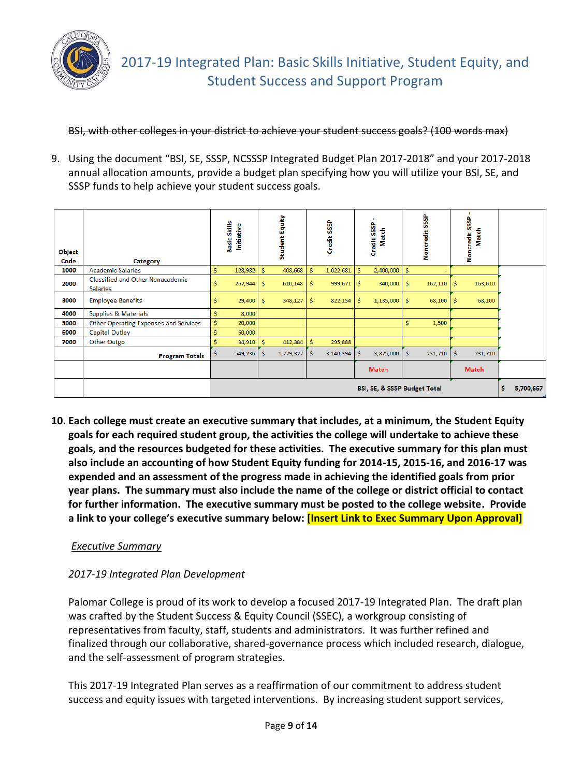

BSI, with other colleges in your district to achieve your student success goals? (100 words max)

9. Using the document "BSI, SE, SSSP, NCSSSP Integrated Budget Plan 2017-2018" and your 2017-2018 annual allocation amounts, provide a budget plan specifying how you will utilize your BSI, SE, and SSSP funds to help achieve your student success goals.

| Object<br>Code | Category                                            | Basic Skills<br>Initiative   |    | Student Equity |    | SSSP<br>Credit |    | <b>SSSP</b><br>Match<br>Credit: |          | <b>SSSP</b><br><b>Noncredit</b> |    | $\mathbf{r}$<br><b>SSSP</b><br>Match<br>credit<br>å |  |
|----------------|-----------------------------------------------------|------------------------------|----|----------------|----|----------------|----|---------------------------------|----------|---------------------------------|----|-----------------------------------------------------|--|
| 1000           | <b>Academic Salaries</b>                            | \$<br>128,982                | Ś. | 408,668        | \$ | 1,022,681      | \$ | 2,400,000                       | <b>S</b> |                                 |    |                                                     |  |
| 2000           | Classified and Other Nonacademic<br><b>Salaries</b> | Ś<br>267,944                 | Ŝ. | 610,148        | Ś  | 999,671        | Ŝ. | 340,000                         | Ŝ        | 162,110                         | Ś. | 163,610                                             |  |
| 3000           | <b>Employee Benefits</b>                            | \$<br>29,400                 | Ŝ. | 348,127        | Ś  | 822,154        | Ŝ. | 1,135,000                       | -Ŝ       | 68,100                          | s  | 68,100                                              |  |
| 4000           | Supplies & Materials                                | \$<br>8,000                  |    |                |    |                |    |                                 |          |                                 |    |                                                     |  |
| 5000           | Other Operating Expenses and Services               | \$<br>20,000                 |    |                |    |                |    |                                 | Ś        | 1,500                           |    |                                                     |  |
| 6000           | Capital Outlay                                      | Ś<br>60,000                  |    |                |    |                |    |                                 |          |                                 |    |                                                     |  |
| 7000           | Other Outgo                                         | Ś<br>34,910                  | Ś  | 412,384        | Ś  | 295,888        |    |                                 |          |                                 |    |                                                     |  |
|                | <b>Program Totals</b>                               | \$<br>549,236                | Ŝ. | 1,779,327      | Ś  | 3,140,394      | Ś  | 3,875,000                       | Ŝ        | 231,710                         | Ŝ. | 231,710                                             |  |
|                |                                                     |                              |    |                |    |                |    | Match                           |          |                                 |    | <b>Match</b>                                        |  |
|                |                                                     | BSI, SE, & SSSP Budget Total |    |                |    |                |    |                                 |          | \$<br>5,700,667                 |    |                                                     |  |

**10. Each college must create an executive summary that includes, at a minimum, the Student Equity goals for each required student group, the activities the college will undertake to achieve these goals, and the resources budgeted for these activities. The executive summary for this plan must also include an accounting of how Student Equity funding for 2014-15, 2015-16, and 2016-17 was expended and an assessment of the progress made in achieving the identified goals from prior year plans. The summary must also include the name of the college or district official to contact for further information. The executive summary must be posted to the college website. Provide a link to your college's executive summary below: [Insert Link to Exec Summary Upon Approval]**

### *Executive Summary*

# *2017-19 Integrated Plan Development*

Palomar College is proud of its work to develop a focused 2017-19 Integrated Plan. The draft plan was crafted by the Student Success & Equity Council (SSEC), a workgroup consisting of representatives from faculty, staff, students and administrators. It was further refined and finalized through our collaborative, shared-governance process which included research, dialogue, and the self-assessment of program strategies.

This 2017-19 Integrated Plan serves as a reaffirmation of our commitment to address student success and equity issues with targeted interventions. By increasing student support services,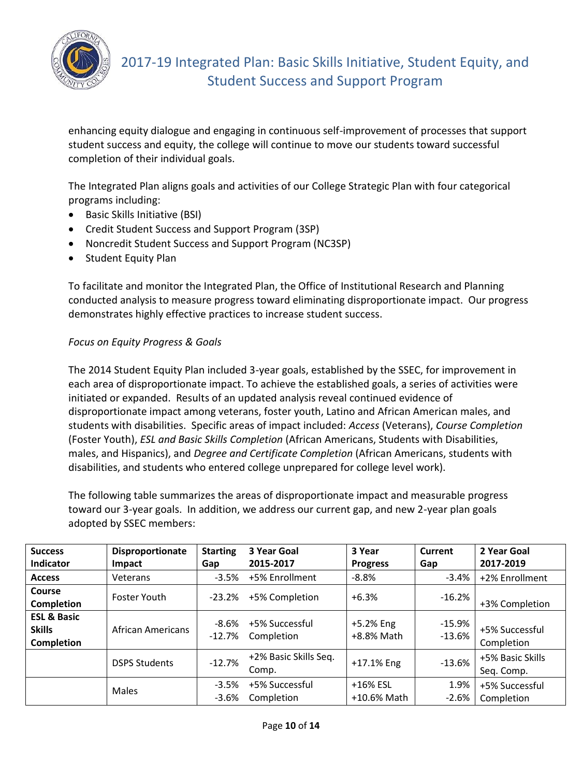

enhancing equity dialogue and engaging in continuous self-improvement of processes that support student success and equity, the college will continue to move our students toward successful completion of their individual goals.

The Integrated Plan aligns goals and activities of our College Strategic Plan with four categorical programs including:

- Basic Skills Initiative (BSI)
- Credit Student Success and Support Program (3SP)
- Noncredit Student Success and Support Program (NC3SP)
- Student Equity Plan

To facilitate and monitor the Integrated Plan, the Office of Institutional Research and Planning conducted analysis to measure progress toward eliminating disproportionate impact. Our progress demonstrates highly effective practices to increase student success.

#### *Focus on Equity Progress & Goals*

The 2014 Student Equity Plan included 3-year goals, established by the SSEC, for improvement in each area of disproportionate impact. To achieve the established goals, a series of activities were initiated or expanded. Results of an updated analysis reveal continued evidence of disproportionate impact among veterans, foster youth, Latino and African American males, and students with disabilities. Specific areas of impact included: *Access* (Veterans), *Course Completion* (Foster Youth), *ESL and Basic Skills Completion* (African Americans, Students with Disabilities, males, and Hispanics), and *Degree and Certificate Completion* (African Americans, students with disabilities, and students who entered college unprepared for college level work).

The following table summarizes the areas of disproportionate impact and measurable progress toward our 3-year goals. In addition, we address our current gap, and new 2-year plan goals adopted by SSEC members:

| <b>Success</b><br>Indicator                                  | Disproportionate<br>Impact | <b>Starting</b><br>Gap | 3 Year Goal<br>2015-2017       | 3 Year<br><b>Progress</b> | <b>Current</b><br>Gap | 2 Year Goal<br>2017-2019       |
|--------------------------------------------------------------|----------------------------|------------------------|--------------------------------|---------------------------|-----------------------|--------------------------------|
| <b>Access</b>                                                | Veterans                   | $-3.5%$                | +5% Enrollment                 | $-8.8%$                   | $-3.4%$               | +2% Enrollment                 |
| Course<br>Completion                                         | <b>Foster Youth</b>        | $-23.2%$               | +5% Completion                 | $+6.3%$                   | $-16.2%$              | +3% Completion                 |
| <b>ESL &amp; Basic</b><br><b>Skills</b><br><b>Completion</b> | African Americans          | $-8.6%$<br>$-12.7%$    | +5% Successful<br>Completion   | +5.2% Eng<br>+8.8% Math   | $-15.9%$<br>$-13.6%$  | +5% Successful<br>Completion   |
|                                                              | <b>DSPS Students</b>       | $-12.7%$               | +2% Basic Skills Seq.<br>Comp. | +17.1% Eng                | $-13.6%$              | +5% Basic Skills<br>Seq. Comp. |
|                                                              | Males                      | $-3.5%$<br>$-3.6%$     | +5% Successful<br>Completion   | +16% ESL<br>+10.6% Math   | 1.9%<br>$-2.6%$       | +5% Successful<br>Completion   |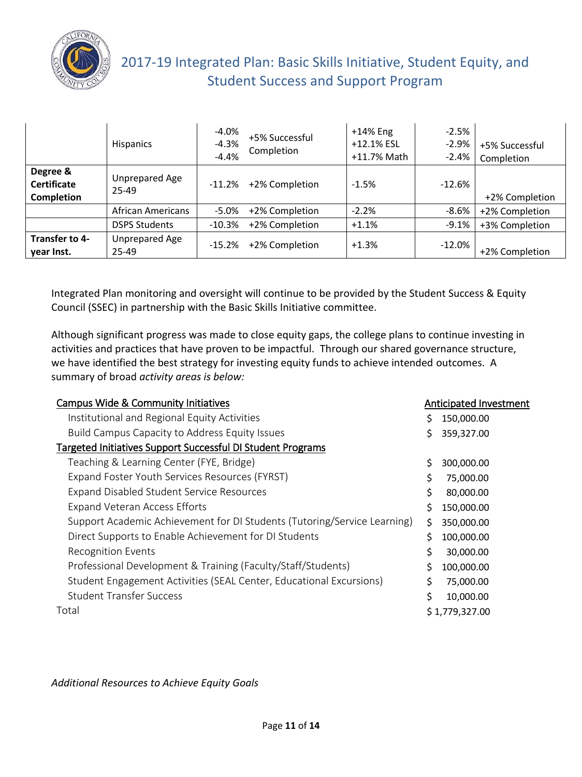

# 2017-19 Integrated Plan: Basic Skills Initiative, Student Equity, and Student Success and Support Program

|                                                     | <b>Hispanics</b>          | $-4.0%$<br>$-4.3%$<br>$-4.4%$ | +5% Successful<br>Completion | $+14%$ Eng<br>+12.1% ESL<br>+11.7% Math | $-2.5%$<br>$-2.9%$<br>$-2.4%$ | +5% Successful<br>Completion |
|-----------------------------------------------------|---------------------------|-------------------------------|------------------------------|-----------------------------------------|-------------------------------|------------------------------|
| Degree &<br><b>Certificate</b><br><b>Completion</b> | Unprepared Age<br>$25-49$ | $-11.2%$                      | +2% Completion               | $-1.5%$                                 | $-12.6%$                      | +2% Completion               |
|                                                     | African Americans         | $-5.0\%$                      | +2% Completion               | $-2.2%$                                 | $-8.6%$                       | +2% Completion               |
|                                                     | <b>DSPS Students</b>      | $-10.3\%$                     | +2% Completion               | $+1.1%$                                 | $-9.1%$                       | +3% Completion               |
| Transfer to 4-<br>year Inst.                        | Unprepared Age<br>25-49   | $-15.2%$                      | +2% Completion               | $+1.3%$                                 | $-12.0\%$                     | +2% Completion               |

Integrated Plan monitoring and oversight will continue to be provided by the Student Success & Equity Council (SSEC) in partnership with the Basic Skills Initiative committee.

Although significant progress was made to close equity gaps, the college plans to continue investing in activities and practices that have proven to be impactful. Through our shared governance structure, we have identified the best strategy for investing equity funds to achieve intended outcomes. A summary of broad *activity areas is below:*

| <b>Campus Wide &amp; Community Initiatives</b>                           |    | Anticipated Investment |
|--------------------------------------------------------------------------|----|------------------------|
| Institutional and Regional Equity Activities                             | S  | 150,000.00             |
| Build Campus Capacity to Address Equity Issues                           |    | 359,327.00             |
| Targeted Initiatives Support Successful DI Student Programs              |    |                        |
| Teaching & Learning Center (FYE, Bridge)                                 | \$ | 300,000.00             |
| Expand Foster Youth Services Resources (FYRST)                           | \$ | 75,000.00              |
| <b>Expand Disabled Student Service Resources</b>                         | \$ | 80,000.00              |
| <b>Expand Veteran Access Efforts</b>                                     | \$ | 150,000.00             |
| Support Academic Achievement for DI Students (Tutoring/Service Learning) | \$ | 350,000.00             |
| Direct Supports to Enable Achievement for DI Students                    | \$ | 100,000.00             |
| <b>Recognition Events</b>                                                | \$ | 30,000.00              |
| Professional Development & Training (Faculty/Staff/Students)             |    | 100,000.00             |
| Student Engagement Activities (SEAL Center, Educational Excursions)      | Ś. | 75,000.00              |
| <b>Student Transfer Success</b>                                          | \$ | 10,000.00              |
| Total                                                                    |    | \$1,779,327.00         |

*Additional Resources to Achieve Equity Goals*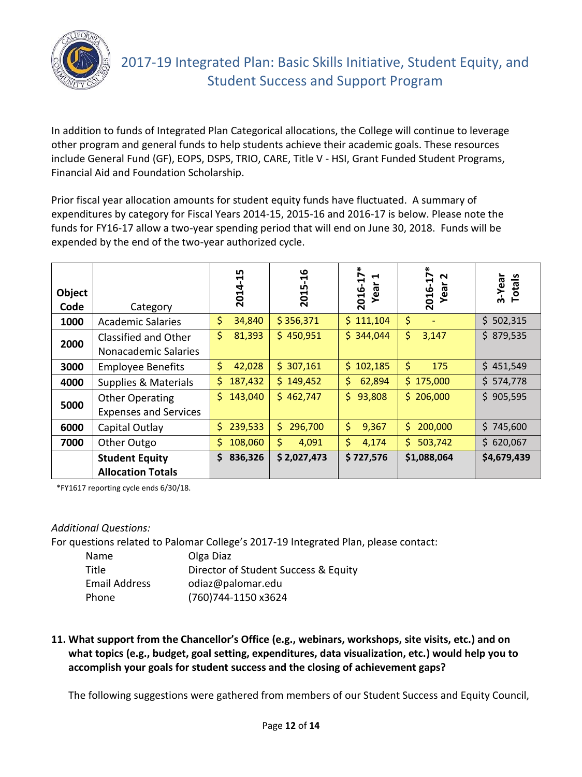

In addition to funds of Integrated Plan Categorical allocations, the College will continue to leverage other program and general funds to help students achieve their academic goals. These resources include General Fund (GF), EOPS, DSPS, TRIO, CARE, Title V - HSI, Grant Funded Student Programs, Financial Aid and Foundation Scholarship.

Prior fiscal year allocation amounts for student equity funds have fluctuated. A summary of expenditures by category for Fiscal Years 2014-15, 2015-16 and 2016-17 is below. Please note the funds for FY16-17 allow a two-year spending period that will end on June 30, 2018. Funds will be expended by the end of the two-year authorized cycle.

| Object<br>Code | Category                                               | 2014-15       | ڡ<br>ᡪ<br>2015 | ∗<br>$\mathbf{L}$<br>H<br>Year<br>2016- | $2016 - 17*$<br>$\mathbf{\mathsf{N}}$<br>Year | 3-Year<br><b>Totals</b> |
|----------------|--------------------------------------------------------|---------------|----------------|-----------------------------------------|-----------------------------------------------|-------------------------|
| 1000           | <b>Academic Salaries</b>                               | \$<br>34,840  | \$356,371      | \$<br>111,104                           | \$<br>٠                                       | \$502,315               |
| 2000           | Classified and Other<br>Nonacademic Salaries           | \$<br>81,393  | \$450,951      | \$344,044                               | \$<br>3,147                                   | \$879,535               |
| 3000           | <b>Employee Benefits</b>                               | \$<br>42,028  | \$307,161      | 102,185<br>\$.                          | \$<br>175                                     | \$451,549               |
| 4000           | <b>Supplies &amp; Materials</b>                        | \$<br>187,432 | \$149,452      | \$<br>62,894                            | \$175,000                                     | \$574,778               |
| 5000           | <b>Other Operating</b><br><b>Expenses and Services</b> | 143,040<br>Ś. | \$462,747      | \$<br>93,808                            | \$206,000                                     | \$905,595               |
| 6000           | Capital Outlay                                         | \$<br>239,533 | \$.<br>296,700 | \$<br>9,367                             | \$.<br>200,000                                | \$745,600               |
| 7000           | Other Outgo                                            | 108,060<br>S  | \$.<br>4,091   | \$<br>4,174                             | \$.<br>503,742                                | \$620,067               |
|                | <b>Student Equity</b><br><b>Allocation Totals</b>      | 836,326<br>\$ | \$2,027,473    | \$727,576                               | \$1,088,064                                   | \$4,679,439             |

\*FY1617 reporting cycle ends 6/30/18.

#### *Additional Questions:*

For questions related to Palomar College's 2017-19 Integrated Plan, please contact:

| Name                 | Olga Diaz                            |
|----------------------|--------------------------------------|
| Title                | Director of Student Success & Equity |
| <b>Email Address</b> | odiaz@palomar.edu                    |
| Phone                | (760)744-1150 x3624                  |

**11. What support from the Chancellor's Office (e.g., webinars, workshops, site visits, etc.) and on what topics (e.g., budget, goal setting, expenditures, data visualization, etc.) would help you to accomplish your goals for student success and the closing of achievement gaps?**

The following suggestions were gathered from members of our Student Success and Equity Council,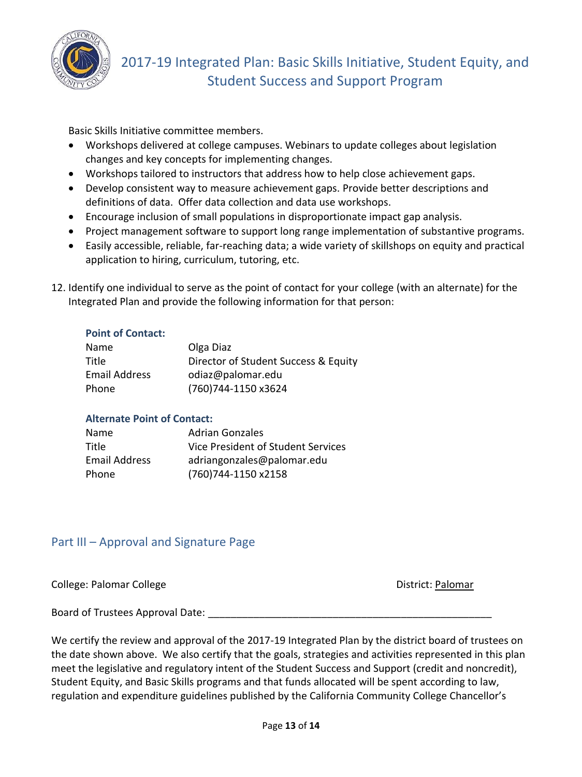

Basic Skills Initiative committee members.

- Workshops delivered at college campuses. Webinars to update colleges about legislation changes and key concepts for implementing changes.
- Workshops tailored to instructors that address how to help close achievement gaps.
- Develop consistent way to measure achievement gaps. Provide better descriptions and definitions of data. Offer data collection and data use workshops.
- Encourage inclusion of small populations in disproportionate impact gap analysis.
- Project management software to support long range implementation of substantive programs.
- Easily accessible, reliable, far-reaching data; a wide variety of skillshops on equity and practical application to hiring, curriculum, tutoring, etc.
- 12. Identify one individual to serve as the point of contact for your college (with an alternate) for the Integrated Plan and provide the following information for that person:

#### **Point of Contact:**

| Name                 | Olga Diaz                            |
|----------------------|--------------------------------------|
| Title                | Director of Student Success & Equity |
| <b>Email Address</b> | odiaz@palomar.edu                    |
| Phone                | (760)744-1150 x3624                  |

#### **Alternate Point of Contact:**

| Name          | <b>Adrian Gonzales</b>             |
|---------------|------------------------------------|
| Title         | Vice President of Student Services |
| Email Address | adriangonzales@palomar.edu         |
| Phone         | (760)744-1150 x2158                |

# Part III – Approval and Signature Page

College: Palomar College District: Palomar

Board of Trustees Approval Date:

We certify the review and approval of the 2017-19 Integrated Plan by the district board of trustees on the date shown above. We also certify that the goals, strategies and activities represented in this plan meet the legislative and regulatory intent of the Student Success and Support (credit and noncredit), Student Equity, and Basic Skills programs and that funds allocated will be spent according to law, regulation and expenditure guidelines published by the California Community College Chancellor's